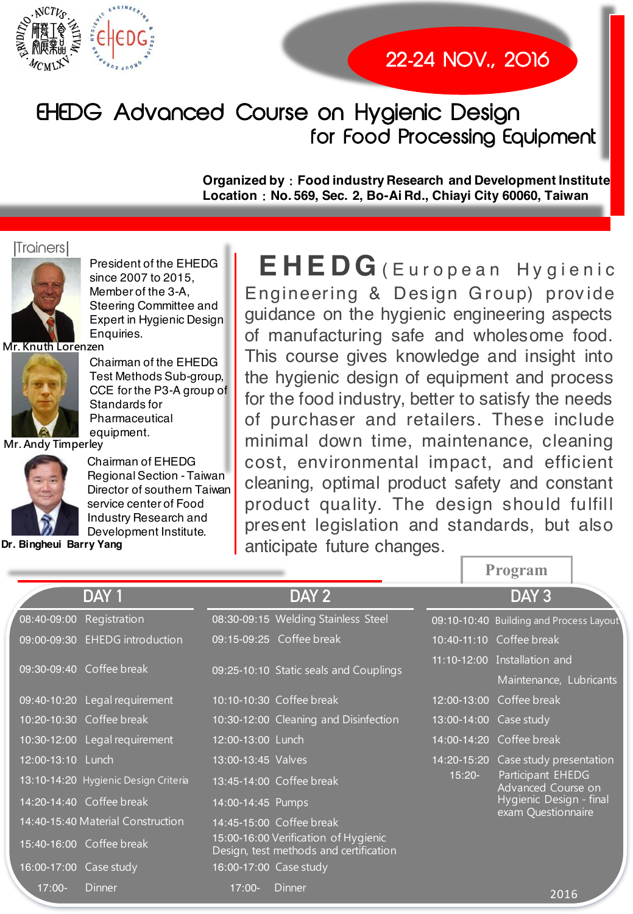

# EHEDG Advanced Course on Hygienic Design for Food Processing Equipment

**Organized byFood industry Research and Development Institute** Location: No. 569, Sec. 2, Bo-Ai Rd., Chiayi City 60060, Taiwan

#### *<u>Trainers</u>*



President of the EHEDG since 2007 to 2015, Member of the 3-A, Steering Committee and Expert in Hygienic Design Enquiries.

**Mr. Knuth Lorenzen** 



Chairman of the EHEDG Test Methods Sub-group, CCE for the P3-A group of Standards for Pharmaceutical equipment.

**Mr. Andy Timperley** 



Chairman of EHEDG Regional Section - Taiwan Director of southern Taiwan service center of Food Industry Research and Development Institute.

**Dr. Bingheui Barry Yang** 

**EHEDG** (European Hygienic Engineering & Design Group) provide guidance on the hygienic engineering aspects of manufacturing safe and wholesome food. This course gives knowledge and insight into the hygienic design of equipment and process for the food industry, better to satisfy the needs of purchaser and retailers. These include minimal down time, maintenance, cleaning cost, environmental impact, and efficient cleaning, optimal product safety and constant product quality. The design should fulfill present legislation and standards, but also anticipate future changes.

**DAY 1 DAY 2 DAY 3** 08:40-09:00 Registration 08:30-09:15 Welding Stainless Steel 09:10-10:40 Building and Process Layout 09:00-09:30 EHEDG introduction 09:15-09:25 Coffee break 10:40-11:10 Coffee break 09:30-09:40 !A 09:25-10:10 CCBB !D" B 11:10-12:00 Installation and Maintenance, Lubricants 09:40-10:20 Legal requirement 10:10-10:30 Coffee break 12:00-13:00 Coffee break 10:20-10:30 Coffee break 10:30-12:00 Cleaning and Disinfection 13:00-14:00 Case study 10:30-12:00 Legal requirement 12:00-13:00 Lunch 14 20 14:00-14:20 Coffee break 12:00-13:10 Lunch 13:00-13:45 Valves 200 14:20-15:20 Case study presentation 13:10-14:20 Hygienic Design Criteria 13:45-14:00 Coffee break 15:20-Participant EHEDG Advanced Course on Hygienic Design - final exam Questionnaire 14:20-14:40 Coffee break 14:00-14:45 Pumps 14:40-15:40 Material Construction 14:45-15:00 Coffee break 15:40-16:00 Coffee break 15:00-16:00 Verification of Hygienic Design, test methods and certification 16:00-17:00 Case study 16:00-17:00 Case study

**Program**